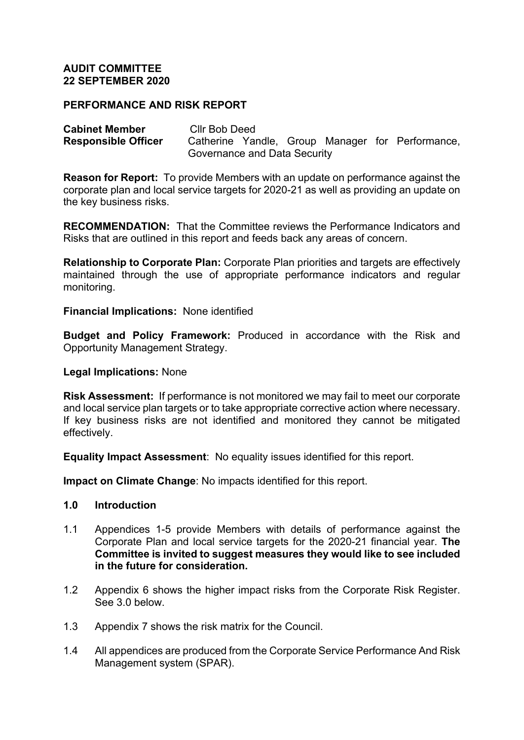# **AUDIT COMMITTEE 22 SEPTEMBER 2020**

# **PERFORMANCE AND RISK REPORT**

| <b>Cabinet Member</b>      | Cllr Bob Deed                |  |  |  |  |                                                  |
|----------------------------|------------------------------|--|--|--|--|--------------------------------------------------|
| <b>Responsible Officer</b> |                              |  |  |  |  | Catherine Yandle, Group Manager for Performance, |
|                            | Governance and Data Security |  |  |  |  |                                                  |

**Reason for Report:** To provide Members with an update on performance against the corporate plan and local service targets for 2020-21 as well as providing an update on the key business risks.

**RECOMMENDATION:** That the Committee reviews the Performance Indicators and Risks that are outlined in this report and feeds back any areas of concern.

**Relationship to Corporate Plan:** Corporate Plan priorities and targets are effectively maintained through the use of appropriate performance indicators and regular monitoring.

**Financial Implications:** None identified

**Budget and Policy Framework:** Produced in accordance with the Risk and Opportunity Management Strategy.

#### **Legal Implications:** None

**Risk Assessment:** If performance is not monitored we may fail to meet our corporate and local service plan targets or to take appropriate corrective action where necessary. If key business risks are not identified and monitored they cannot be mitigated effectively.

**Equality Impact Assessment**: No equality issues identified for this report.

**Impact on Climate Change**: No impacts identified for this report.

## **1.0 Introduction**

- 1.1 Appendices 1-5 provide Members with details of performance against the Corporate Plan and local service targets for the 2020-21 financial year. **The Committee is invited to suggest measures they would like to see included in the future for consideration.**
- 1.2 Appendix 6 shows the higher impact risks from the Corporate Risk Register. See 3.0 below.
- 1.3 Appendix 7 shows the risk matrix for the Council.
- 1.4 All appendices are produced from the Corporate Service Performance And Risk Management system (SPAR).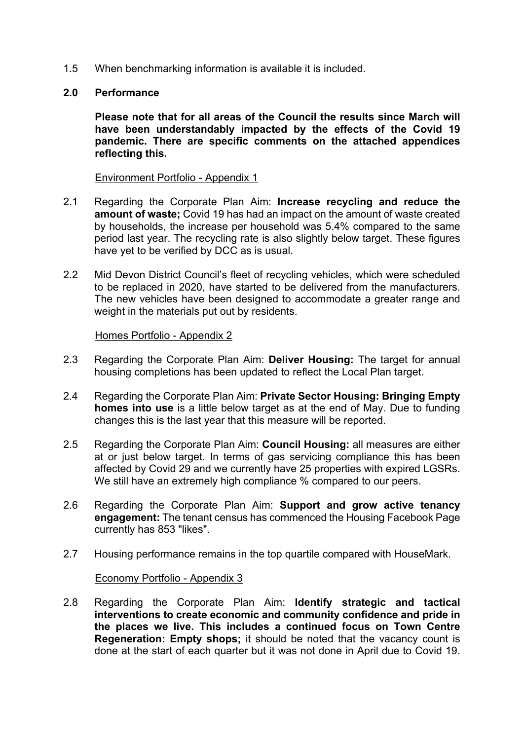1.5 When benchmarking information is available it is included.

# **2.0 Performance**

**Please note that for all areas of the Council the results since March will have been understandably impacted by the effects of the Covid 19 pandemic. There are specific comments on the attached appendices reflecting this.**

## Environment Portfolio - Appendix 1

- 2.1 Regarding the Corporate Plan Aim: **Increase recycling and reduce the amount of waste;** Covid 19 has had an impact on the amount of waste created by households, the increase per household was 5.4% compared to the same period last year. The recycling rate is also slightly below target. These figures have yet to be verified by DCC as is usual.
- 2.2 Mid Devon District Council's fleet of recycling vehicles, which were scheduled to be replaced in 2020, have started to be delivered from the manufacturers. The new vehicles have been designed to accommodate a greater range and weight in the materials put out by residents.

## Homes Portfolio - Appendix 2

- 2.3 Regarding the Corporate Plan Aim: **Deliver Housing:** The target for annual housing completions has been updated to reflect the Local Plan target.
- 2.4 Regarding the Corporate Plan Aim: **Private Sector Housing: Bringing Empty homes into use** is a little below target as at the end of May. Due to funding changes this is the last year that this measure will be reported.
- 2.5 Regarding the Corporate Plan Aim: **Council Housing:** all measures are either at or just below target. In terms of gas servicing compliance this has been affected by Covid 29 and we currently have 25 properties with expired LGSRs. We still have an extremely high compliance % compared to our peers.
- 2.6 Regarding the Corporate Plan Aim: **Support and grow active tenancy engagement:** The tenant census has commenced the Housing Facebook Page currently has 853 "likes".
- 2.7 Housing performance remains in the top quartile compared with HouseMark.

#### Economy Portfolio - Appendix 3

2.8 Regarding the Corporate Plan Aim: **Identify strategic and tactical interventions to create economic and community confidence and pride in the places we live. This includes a continued focus on Town Centre Regeneration: Empty shops;** it should be noted that the vacancy count is done at the start of each quarter but it was not done in April due to Covid 19.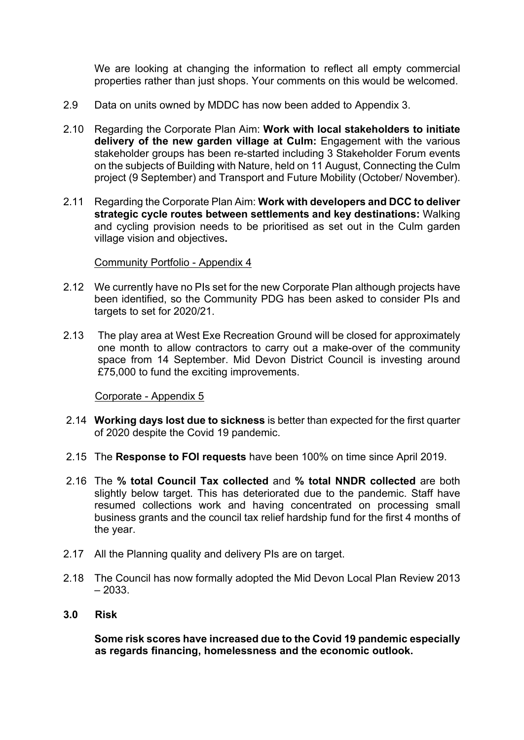We are looking at changing the information to reflect all empty commercial properties rather than just shops. Your comments on this would be welcomed.

- 2.9 Data on units owned by MDDC has now been added to Appendix 3.
- 2.10 Regarding the Corporate Plan Aim: **Work with local stakeholders to initiate delivery of the new garden village at Culm:** Engagement with the various stakeholder groups has been re-started including 3 Stakeholder Forum events on the subjects of Building with Nature, held on 11 August, Connecting the Culm project (9 September) and Transport and Future Mobility (October/ November).
- 2.11 Regarding the Corporate Plan Aim: **Work with developers and DCC to deliver strategic cycle routes between settlements and key destinations:** Walking and cycling provision needs to be prioritised as set out in the Culm garden village vision and objectives**.**

#### Community Portfolio - Appendix 4

- 2.12 We currently have no PIs set for the new Corporate Plan although projects have been identified, so the Community PDG has been asked to consider PIs and targets to set for 2020/21.
- 2.13 The play area at West Exe Recreation Ground will be closed for approximately one month to allow contractors to carry out a make-over of the community space from 14 September. Mid Devon District Council is investing around £75,000 to fund the exciting improvements.

Corporate - Appendix 5

- 2.14 **Working days lost due to sickness** is better than expected for the first quarter of 2020 despite the Covid 19 pandemic.
- 2.15 The **Response to FOI requests** have been 100% on time since April 2019.
- 2.16 The **% total Council Tax collected** and **% total NNDR collected** are both slightly below target. This has deteriorated due to the pandemic. Staff have resumed collections work and having concentrated on processing small business grants and the council tax relief hardship fund for the first 4 months of the year.
- 2.17 All the Planning quality and delivery PIs are on target.
- 2.18 The Council has now formally adopted the Mid Devon Local Plan Review 2013 – 2033.
- **3.0 Risk**

**Some risk scores have increased due to the Covid 19 pandemic especially as regards financing, homelessness and the economic outlook.**